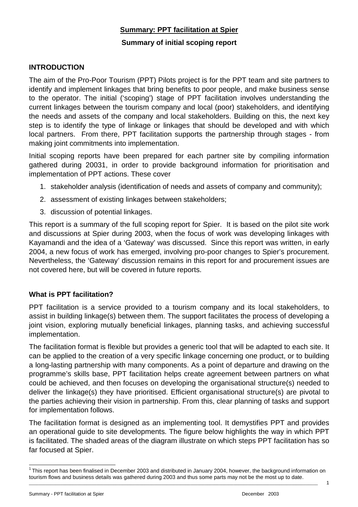## **Summary: PPT facilitation at Spier**

#### **Summary of initial scoping report**

#### **INTRODUCTION**

The aim of the Pro-Poor Tourism (PPT) Pilots project is for the PPT team and site partners to identify and implement linkages that bring benefits to poor people, and make business sense to the operator. The initial ('scoping') stage of PPT facilitation involves understanding the current linkages between the tourism company and local (poor) stakeholders, and identifying the needs and assets of the company and local stakeholders. Building on this, the next key step is to identify the type of linkage or linkages that should be developed and with which local partners. From there, PPT facilitation supports the partnership through stages - from making joint commitments into implementation.

Initial scoping reports have been prepared for each partner site by compiling information gathered during 20031, in order to provide background information for prioritisation and implementation of PPT actions. These cover

- 1. stakeholder analysis (identification of needs and assets of company and community);
- 2. assessment of existing linkages between stakeholders;
- 3. discussion of potential linkages.

This report is a summary of the full scoping report for Spier. It is based on the pilot site work and discussions at Spier during 2003, when the focus of work was developing linkages with Kayamandi and the idea of a 'Gateway' was discussed. Since this report was written, in early 2004, a new focus of work has emerged, involving pro-poor changes to Spier's procurement. Nevertheless, the 'Gateway' discussion remains in this report for and procurement issues are not covered here, but will be covered in future reports.

#### **What is PPT facilitation?**

PPT facilitation is a service provided to a tourism company and its local stakeholders, to assist in building linkage(s) between them. The support facilitates the process of developing a joint vision, exploring mutually beneficial linkages, planning tasks, and achieving successful implementation.

The facilitation format is flexible but provides a generic tool that will be adapted to each site. It can be applied to the creation of a very specific linkage concerning one product, or to building a long-lasting partnership with many components. As a point of departure and drawing on the programme's skills base, PPT facilitation helps create agreement between partners on what could be achieved, and then focuses on developing the organisational structure(s) needed to deliver the linkage(s) they have prioritised. Efficient organisational structure(s) are pivotal to the parties achieving their vision in partnership. From this, clear planning of tasks and support for implementation follows.

The facilitation format is designed as an implementing tool. It demystifies PPT and provides an operational guide to site developments. The figure below highlights the way in which PPT is facilitated. The shaded areas of the diagram illustrate on which steps PPT facilitation has so far focused at Spier.

 $\overline{a}$ 

\_\_\_\_\_\_\_\_\_\_\_\_\_\_\_\_\_\_\_\_\_\_\_\_\_\_\_\_\_\_\_\_\_\_\_\_\_\_\_\_\_\_\_\_\_\_\_\_\_\_\_\_\_\_\_\_\_\_\_\_\_\_\_\_\_\_\_\_\_\_\_\_\_\_\_\_\_\_\_\_\_\_\_\_\_\_\_\_\_\_\_\_\_\_\_\_\_\_\_\_\_\_\_\_\_\_\_\_\_\_\_\_\_\_\_\_\_\_\_\_  $1$ This report has been finalised in December 2003 and distributed in January 2004, however, the background information on tourism flows and business details was gathered during 2003 and thus some parts may not be the most up to date.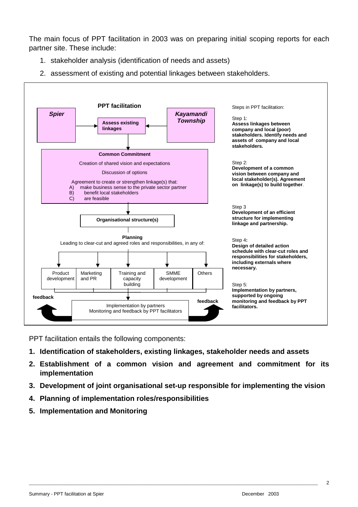The main focus of PPT facilitation in 2003 was on preparing initial scoping reports for each partner site. These include:

- 1. stakeholder analysis (identification of needs and assets)
- 2. assessment of existing and potential linkages between stakeholders.



PPT facilitation entails the following components:

- **1. Identification of stakeholders, existing linkages, stakeholder needs and assets**
- **2. Establishment of a common vision and agreement and commitment for its implementation**
- **3. Development of joint organisational set-up responsible for implementing the vision**

- **4. Planning of implementation roles/responsibilities**
- **5. Implementation and Monitoring**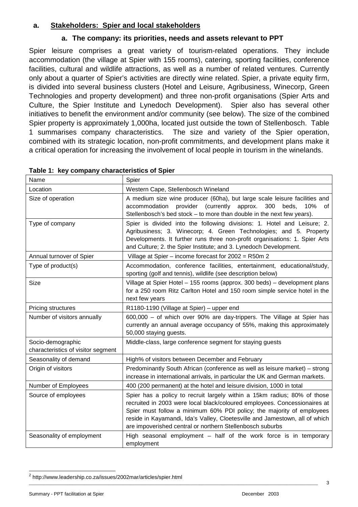## **a. Stakeholders: Spier and local stakeholders**

## **a. The company: its priorities, needs and assets relevant to PPT**

Spier leisure comprises a great variety of tourism-related operations. They include accommodation (the village at Spier with 155 rooms), catering, sporting facilities, conference facilities, cultural and wildlife attractions, as well as a number of related ventures. Currently only about a quarter of Spier's activities are directly wine related. Spier, a private equity firm, is divided into several business clusters (Hotel and Leisure, Agribusiness, Winecorp, Green Technologies and property development) and three non-profit organisations (Spier Arts and Culture, the Spier Institute and Lynedoch Development). Spier also has several other initiatives to benefit the environment and/or community (see below). The size of the combined Spier property is approximately 1,000ha, located just outside the town of Stellenbosch. Table 1 summarises company characteristics. The size and variety of the Spier operation, combined with its strategic location, non-profit commitments, and development plans make it a critical operation for increasing the involvement of local people in tourism in the winelands.

| Name                                                    | Spier                                                                                                                                                                                                                                                                                                                                                                      |  |
|---------------------------------------------------------|----------------------------------------------------------------------------------------------------------------------------------------------------------------------------------------------------------------------------------------------------------------------------------------------------------------------------------------------------------------------------|--|
| Location                                                | Western Cape, Stellenbosch Wineland                                                                                                                                                                                                                                                                                                                                        |  |
| Size of operation                                       | A medium size wine producer (60ha), but large scale leisure facilities and<br>provider (currently<br>accommodation<br>approx.<br>300<br>beds,<br>10%<br>0f<br>Stellenbosch's bed stock - to more than double in the next few years).                                                                                                                                       |  |
| Type of company                                         | Spier is divided into the following divisions: 1. Hotel and Leisure; 2.<br>Agribusiness; 3. Winecorp; 4. Green Technologies; and 5. Property<br>Developments. It further runs three non-profit organisations: 1. Spier Arts<br>and Culture; 2. the Spier Institute; and 3. Lynedoch Development.                                                                           |  |
| Annual turnover of Spier                                | Village at Spier - income forecast for 2002 = R50m 2                                                                                                                                                                                                                                                                                                                       |  |
| Type of product(s)                                      | Accommodation, conference facilities, entertainment, educational/study,<br>sporting (golf and tennis), wildlife (see description below)                                                                                                                                                                                                                                    |  |
| Size                                                    | Village at Spier Hotel - 155 rooms (approx. 300 beds) - development plans<br>for a 250 room Ritz Carlton Hotel and 150 room simple service hotel in the<br>next few years                                                                                                                                                                                                  |  |
| Pricing structures                                      | R1180-1190 (Village at Spier) – upper end                                                                                                                                                                                                                                                                                                                                  |  |
| Number of visitors annually                             | 600,000 - of which over 90% are day-trippers. The Village at Spier has<br>currently an annual average occupancy of 55%, making this approximately<br>50,000 staying guests.                                                                                                                                                                                                |  |
| Socio-demographic<br>characteristics of visitor segment | Middle-class, large conference segment for staying guests                                                                                                                                                                                                                                                                                                                  |  |
| Seasonality of demand                                   | High% of visitors between December and February                                                                                                                                                                                                                                                                                                                            |  |
| Origin of visitors                                      | Predominantly South African (conference as well as leisure market) - strong<br>increase in international arrivals, in particular the UK and German markets.                                                                                                                                                                                                                |  |
| Number of Employees                                     | 400 (200 permanent) at the hotel and leisure division, 1000 in total                                                                                                                                                                                                                                                                                                       |  |
| Source of employees                                     | Spier has a policy to recruit largely within a 15km radius; 80% of those<br>recruited in 2003 were local black/coloured employees. Concessionaires at<br>Spier must follow a minimum 60% PDI policy; the majority of employees<br>reside in Kayamandi, Ida's Valley, Cloetesville and Jamestown, all of which<br>are impoverished central or northern Stellenbosch suburbs |  |
| Seasonality of employment                               | High seasonal employment - half of the work force is in temporary<br>employment                                                                                                                                                                                                                                                                                            |  |

|  |  |  | Table 1: key company characteristics of Spier |  |
|--|--|--|-----------------------------------------------|--|
|--|--|--|-----------------------------------------------|--|

 2 http://www.leadership.co.za/issues/2002mar/articles/spier.html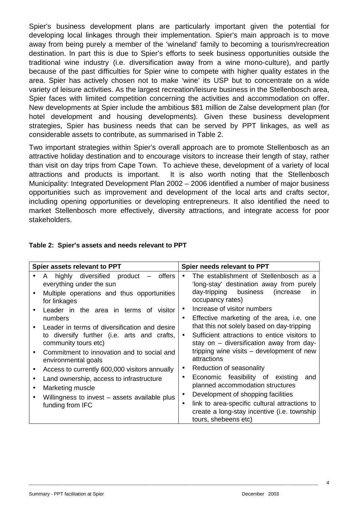Spier's business development plans are particularly important given the potential for developing local linkages through their implementation. Spier's main approach is to move away from being purely a member of the 'wineland' family to becoming a tourism/recreation destination. In part this is due to Spier's efforts to seek business opportunities outside the traditional wine industry (i.e. diversification away from a wine mono-culture), and partly because of the past difficulties for Spier wine to compete with higher quality estates in the area. Spier has actively chosen not to make 'wine' its USP but to concentrate on a wide variety of leisure activities. As the largest recreation/leisure business in the Stellenbosch area, Spier faces with limited competition concerning the activities and accommodation on offer. New developments at Spier include the ambitious \$81 million de Zalse development plan (for hotel development and housing developments). Given these business development strategies, Spier has business needs that can be served by PPT linkages, as well as considerable assets to contribute, as summarised in Table 2.

Two important strategies within Spier's overall approach are to promote Stellenbosch as an attractive holiday destination and to encourage visitors to increase their length of stay, rather than visit on day trips from Cape Town. To achieve these, development of a variety of local attractions and products is important. It is also worth noting that the Stellenbosch Municipality: Integrated Development Plan 2002 – 2006 identified a number of major business opportunities such as improvement and development of the local arts and crafts sector, including opening opportunities or developing entrepreneurs. It also identified the need to market Stellenbosch more effectively, diversity attractions, and integrate access for poor stakeholders.

| Spier assets relevant to PPT                                                                      | Spier needs relevant to PPT                                                                                                       |  |
|---------------------------------------------------------------------------------------------------|-----------------------------------------------------------------------------------------------------------------------------------|--|
| highly diversified product<br>offers<br>A<br>$\overline{\phantom{m}}$<br>everything under the sun | The establishment of Stellenbosch as a<br>'long-stay' destination away from purely                                                |  |
| Multiple operations and thus opportunities<br>for linkages                                        | day-tripping business<br>(increase)<br>$\mathsf{I}$<br>occupancy rates)                                                           |  |
| Leader in the area in terms of visitor                                                            | Increase of visitor numbers<br>$\bullet$                                                                                          |  |
| numbers                                                                                           | Effective marketing of the area, i.e. one<br>$\bullet$                                                                            |  |
| Leader in terms of diversification and desire                                                     | that this not solely based on day-tripping                                                                                        |  |
| to diversify further (i.e. arts and crafts,<br>community tours etc)                               | Sufficient attractions to entice visitors to<br>$\bullet$<br>stay on – diversification away from day-                             |  |
| Commitment to innovation and to social and<br>environmental goals                                 | tripping wine visits – development of new<br>attractions                                                                          |  |
| Access to currently 600,000 visitors annually                                                     | Reduction of seasonality<br>$\bullet$                                                                                             |  |
| Land ownership, access to infrastructure                                                          | Economic feasibility of existing<br>and<br>$\bullet$                                                                              |  |
| Marketing muscle                                                                                  | planned accommodation structures                                                                                                  |  |
| Willingness to invest – assets available plus                                                     | Development of shopping facilities<br>$\bullet$                                                                                   |  |
| funding from IFC                                                                                  | link to area-specific cultural attractions to<br>$\bullet$<br>create a long-stay incentive (i.e. township<br>tours, shebeens etc) |  |

\_\_\_\_\_\_\_\_\_\_\_\_\_\_\_\_\_\_\_\_\_\_\_\_\_\_\_\_\_\_\_\_\_\_\_\_\_\_\_\_\_\_\_\_\_\_\_\_\_\_\_\_\_\_\_\_\_\_\_\_\_\_\_\_\_\_\_\_\_\_\_\_\_\_\_\_\_\_\_\_\_\_\_\_\_\_\_\_\_\_\_\_\_\_\_\_\_\_\_\_\_\_\_\_\_\_\_\_\_\_\_\_\_\_\_\_\_\_\_\_

### **Table 2: Spier's assets and needs relevant to PPT**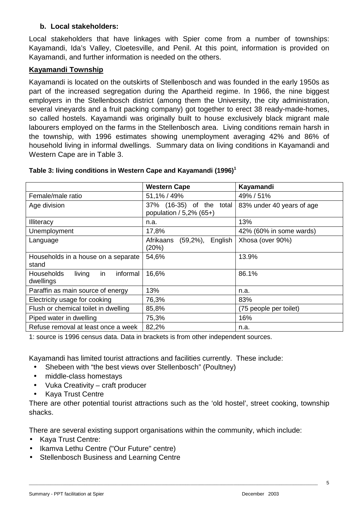## **b. Local stakeholders:**

Local stakeholders that have linkages with Spier come from a number of townships: Kayamandi, Ida's Valley, Cloetesville, and Penil. At this point, information is provided on Kayamandi, and further information is needed on the others.

## **Kayamandi Township**

Kayamandi is located on the outskirts of Stellenbosch and was founded in the early 1950s as part of the increased segregation during the Apartheid regime. In 1966, the nine biggest employers in the Stellenbosch district (among them the University, the city administration, several vineyards and a fruit packing company) got together to erect 38 ready-made-homes, so called hostels. Kayamandi was originally built to house exclusively black migrant male labourers employed on the farms in the Stellenbosch area. Living conditions remain harsh in the township, with 1996 estimates showing unemployment averaging 42% and 86% of household living in informal dwellings. Summary data on living conditions in Kayamandi and Western Cape are in Table 3.

|                                                             | <b>Western Cape</b>                                    | Kayamandi                 |
|-------------------------------------------------------------|--------------------------------------------------------|---------------------------|
| Female/male ratio                                           | 51,1% / 49%                                            | 49% / 51%                 |
| Age division                                                | 37% (16-35) of the<br>total<br>population / 5,2% (65+) | 83% under 40 years of age |
| Illiteracy                                                  | n.a.                                                   | 13%                       |
| Unemployment                                                | 17,8%                                                  | 42% (60% in some wards)   |
| Language                                                    | Afrikaans<br>$(59,2\%)$ ,<br>English<br>(20%)          | Xhosa (over 90%)          |
| Households in a house on a separate<br>stand                | 54,6%                                                  | 13.9%                     |
| living<br>informal<br><b>Households</b><br>in.<br>dwellings | 16,6%                                                  | 86.1%                     |
| Paraffin as main source of energy                           | 13%                                                    | n.a.                      |
| Electricity usage for cooking                               | 76,3%                                                  | 83%                       |
| Flush or chemical toilet in dwelling                        | 85,8%                                                  | (75 people per toilet)    |
| Piped water in dwelling                                     | 75,3%                                                  | 16%                       |
| Refuse removal at least once a week                         | 82,2%                                                  | n.a.                      |

#### **Table 3: living conditions in Western Cape and Kayamandi (1996)<sup>1</sup>**

1: source is 1996 census data. Data in brackets is from other independent sources.

Kayamandi has limited tourist attractions and facilities currently. These include:

- Shebeen with "the best views over Stellenbosch" (Poultney)
- middle-class homestays
- Vuka Creativity craft producer
- Kaya Trust Centre

There are other potential tourist attractions such as the 'old hostel', street cooking, township shacks.

There are several existing support organisations within the community, which include:

- Kaya Trust Centre:
- Ikamva Lethu Centre ("Our Future" centre)
- Stellenbosch Business and Learning Centre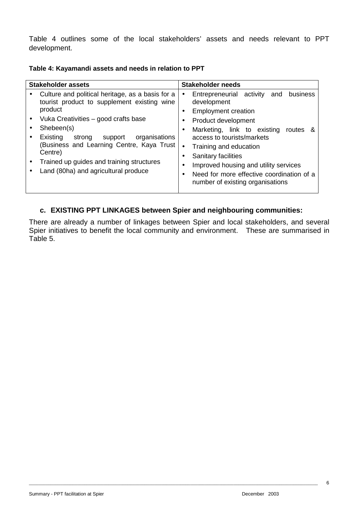Table 4 outlines some of the local stakeholders' assets and needs relevant to PPT development.

| Table 4: Kayamandi assets and needs in relation to PPT |  |  |
|--------------------------------------------------------|--|--|
|--------------------------------------------------------|--|--|

| <b>Stakeholder assets</b>                                                                                                                                                                                                                                                                                                                                                   | <b>Stakeholder needs</b>                                                                                                                                                                                                                                                                                                                                                                                           |  |  |
|-----------------------------------------------------------------------------------------------------------------------------------------------------------------------------------------------------------------------------------------------------------------------------------------------------------------------------------------------------------------------------|--------------------------------------------------------------------------------------------------------------------------------------------------------------------------------------------------------------------------------------------------------------------------------------------------------------------------------------------------------------------------------------------------------------------|--|--|
| Culture and political heritage, as a basis for a<br>$\bullet$<br>tourist product to supplement existing wine<br>product<br>Vuka Creativities – good crafts base<br>Shebeen(s)<br>organisations<br>Existing<br>support<br>strong<br>Business and Learning Centre, Kaya Trust<br>Centre)<br>Trained up guides and training structures<br>Land (80ha) and agricultural produce | business<br>Entrepreneurial activity<br>and<br>$\bullet$<br>development<br><b>Employment creation</b><br>Product development<br>٠<br>Marketing, link to existing<br>routes<br>&<br>access to tourists/markets<br>Training and education<br>$\bullet$<br>Sanitary facilities<br>Improved housing and utility services<br>Need for more effective coordination of a<br>$\bullet$<br>number of existing organisations |  |  |

## **c. EXISTING PPT LINKAGES between Spier and neighbouring communities:**

There are already a number of linkages between Spier and local stakeholders, and several Spier initiatives to benefit the local community and environment. These are summarised in Table 5.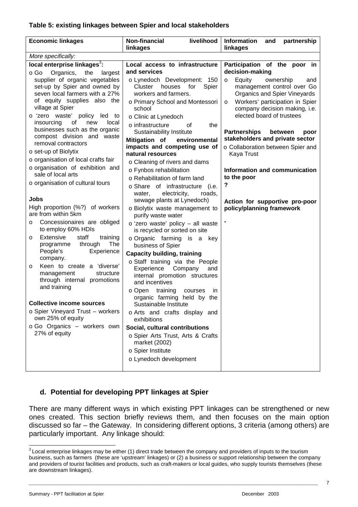#### **Table 5: existing linkages between Spier and local stakeholders**

## **d. Potential for developing PPT linkages at Spier**

There are many different ways in which existing PPT linkages can be strengthened or new ones created. This section briefly reviews them, and then focuses on the main option discussed so far – the Gateway. In considering different options, 3 criteria (among others) are particularly important. Any linkage should:

 $\overline{a}$  $3$  Local enterprise linkages may be either (1) direct trade between the company and providers of inputs to the tourism business, such as farmers (these are 'upstream' linkages) or (2) a business or support relationship between the company and providers of tourist facilities and products, such as craft-makers or local guides, who supply tourists themselves (these are downstream linkages).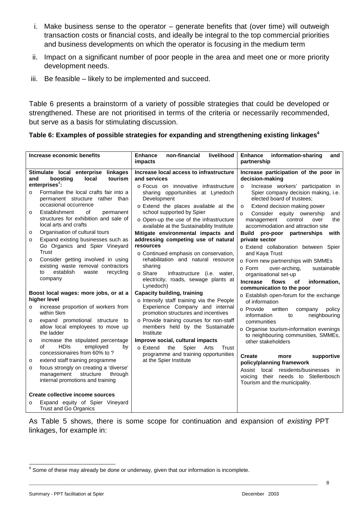- i. Make business sense to the operator generate benefits that (over time) will outweigh transaction costs or financial costs, and ideally be integral to the top commercial priorities and business developments on which the operator is focusing in the medium term
- ii. Impact on a significant number of poor people in the area and meet one or more priority development needs.
- iii. Be feasible likely to be implemented and succeed.

Table 6 presents a brainstorm of a variety of possible strategies that could be developed or strengthened. These are not prioritised in terms of the criteria or necessarily recommended, but serve as a basis for stimulating discussion.

| Table 6: Examples of possible strategies for expanding and strengthening existing linkages <sup>4</sup> |  |  |
|---------------------------------------------------------------------------------------------------------|--|--|
|                                                                                                         |  |  |

| Increase economic benefits                                                                                                                                                                                                                                                                                                                                                                                                                                                                                                  | livelihood<br>non-financial<br><b>Enhance</b><br><i>impacts</i>                                                                                                                                                                                                                                                                                                                                          | <b>Enhance</b><br>information-sharing<br>and<br>partnership                                                                                                                                                                                                                                                                                                                                                                                                                         |
|-----------------------------------------------------------------------------------------------------------------------------------------------------------------------------------------------------------------------------------------------------------------------------------------------------------------------------------------------------------------------------------------------------------------------------------------------------------------------------------------------------------------------------|----------------------------------------------------------------------------------------------------------------------------------------------------------------------------------------------------------------------------------------------------------------------------------------------------------------------------------------------------------------------------------------------------------|-------------------------------------------------------------------------------------------------------------------------------------------------------------------------------------------------------------------------------------------------------------------------------------------------------------------------------------------------------------------------------------------------------------------------------------------------------------------------------------|
| Stimulate local enterprise linkages<br>boosting<br>local<br>tourism<br>and<br>enterprises $4$ :<br>Formalise the local crafts fair into a<br>$\Omega$<br>permanent structure rather than<br>occasional occurrence<br>Establishment<br>οf<br>permanent<br>$\circ$<br>structures for exhibition and sale of<br>local arts and crafts<br>Organisation of cultural tours<br>$\circ$                                                                                                                                             | Increase local access to infrastructure<br>and services<br>o Focus on innovative infrastructure<br>sharing opportunities at Lynedoch<br>Development<br>o Extend the places available at the<br>school supported by Spier<br>o Open-up the use of the infrastructure<br>available at the Sustainability Institute<br>Mitigate environmental impacts and                                                   | Increase participation of the poor in<br>decision-making<br>Increase workers' participation in<br>$\circ$<br>Spier company decision making, i.e.<br>elected board of trustees:<br>Extend decision making power<br>$\circ$<br>Consider equity ownership<br>and<br>$\Omega$<br>control<br>the<br>management<br>over<br>accommodation and attraction site<br>Build<br>pro-poor partnerships<br>with                                                                                    |
| Expand existing businesses such as<br>$\circ$<br>Go Organics and Spier Vineyard<br><b>Trust</b><br>Consider getting involved in using<br>$\circ$<br>existing waste removal contractors<br>establish<br>waste<br>recycling<br>to<br>company                                                                                                                                                                                                                                                                                  | addressing competing use of natural<br>resources<br>o Continued emphasis on conservation,<br>rehabilitation and natural resource<br>sharing<br>o Share<br>infrastructure (i.e. water,<br>electricity, roads, sewage plants at<br>Lynedoch)                                                                                                                                                               | private sector<br>o Extend collaboration between Spier<br>and Kaya Trust<br>o Form new partnerships with SMMEs<br>o Form<br>over-arching.<br>sustainable<br>organisational set-up<br>flows<br><b>Increase</b><br>of<br>information,                                                                                                                                                                                                                                                 |
| Boost local wages: more jobs, or at a<br>higher level<br>increase proportion of workers from<br>$\Omega$<br>within 5km<br>expand promotional structure to<br>$\circ$<br>allow local employees to move up<br>the ladder<br>increase the stipulated percentage<br>$\circ$<br><b>HDIS</b><br>employed<br>οf<br>by<br>concessionaires from 60% to?<br>extend staff training programme<br>$\circ$<br>focus strongly on creating a 'diverse'<br>$\circ$<br>management<br>structure<br>through<br>internal promotions and training | <b>Capacity building, training</b><br>o Intensify staff training via the People<br>Experience Company and internal<br>promotion structures and incentives<br>o Provide training courses for non-staff<br>members held by the Sustainable<br>Institute<br>Improve social, cultural impacts<br>Spier<br>○ Extend<br>the<br>Trust<br>Arts<br>programme and training opportunities<br>at the Spier Institute | communication to the poor<br>o Establish open-forum for the exchange<br>of information<br>⊙ Provide<br>written<br>policy<br>company<br>information<br>to<br>neighbouring<br>communities<br>o Organise tourism-information evenings<br>to neighbouring communities, SMMEs,<br>other stakeholders<br><b>Create</b><br>supportive<br>more<br>policy/planning framework<br>Assist local residents/businesses in<br>voicing their needs to Stellenbosch<br>Tourism and the municipality. |
| Create collective income sources<br>Expand equity of Spier Vineyard<br>$\circ$<br><b>Trust and Go Organics</b>                                                                                                                                                                                                                                                                                                                                                                                                              |                                                                                                                                                                                                                                                                                                                                                                                                          |                                                                                                                                                                                                                                                                                                                                                                                                                                                                                     |

As Table 5 shows, there is some scope for continuation and expansion of existing PPT linkages, for example in:

\_\_\_\_\_\_\_\_\_\_\_\_\_\_\_\_\_\_\_\_\_\_\_\_\_\_\_\_\_\_\_\_\_\_\_\_\_\_\_\_\_\_\_\_\_\_\_\_\_\_\_\_\_\_\_\_\_\_\_\_\_\_\_\_\_\_\_\_\_\_\_\_\_\_\_\_\_\_\_\_\_\_\_\_\_\_\_\_\_\_\_\_\_\_\_\_\_\_\_\_\_\_\_\_\_\_\_\_\_\_\_\_\_\_\_\_\_\_\_\_

Summary - PPT facilitation at Spier December 2003

 4 Some of these may already be done or underway, given that our information is incomplete.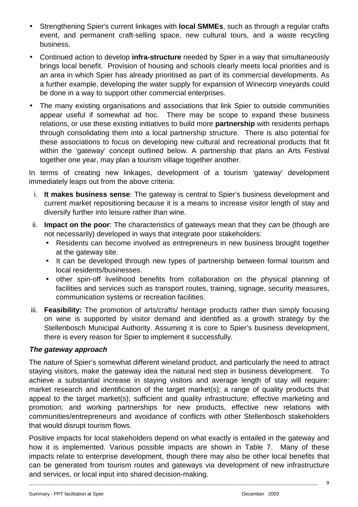- Strengthening Spier's current linkages with **local SMMEs**, such as through a regular crafts event, and permanent craft-selling space, new cultural tours, and a waste recycling business.
- Continued action to develop **infra-structure** needed by Spier in a way that simultaneously brings local benefit. Provision of housing and schools clearly meets local priorities and is an area in which Spier has already prioritised as part of its commercial developments. As a further example, developing the water supply for expansion of Winecorp vineyards could be done in a way to support other commercial enterprises.
- The many existing organisations and associations that link Spier to outside communities appear useful if somewhat ad hoc. There may be scope to expand these business relations, or use these existing initiatives to build more **partnership** with residents perhaps through consolidating them into a local partnership structure. There is also potential for these associations to focus on developing new cultural and recreational products that fit within the 'gateway' concept outlined below. A partnership that plans an Arts Festival together one year, may plan a tourism village together another.

In terms of creating new linkages, development of a tourism 'gateway' development immediately leaps out from the above criteria:

- i. **It makes business sense**: The gateway is central to Spier's business development and current market repositioning because it is a means to increase visitor length of stay and diversify further into leisure rather than wine.
- ii. **Impact on the poor**: The characteristics of gateways mean that they can be (though are not necessarily) developed in ways that integrate poor stakeholders:
	- Residents can become involved as entrepreneurs in new business brought together at the gateway site.
	- It can be developed through new types of partnership between formal tourism and local residents/businesses.
	- other spin-off livelihood benefits from collaboration on the physical planning of facilities and services such as transport routes, training, signage, security measures, communication systems or recreation facilities.
- iii. **Feasibility:** The promotion of arts/crafts/ heritage products rather than simply focusing on wine is supported by visitor demand and identified as a growth strategy by the Stellenbosch Municipal Authority. Assuming it is core to Spier's business development, there is every reason for Spier to implement it successfully.

## **The gateway approach**

The nature of Spier's somewhat different wineland product, and particularly the need to attract staying visitors, make the gateway idea the natural next step in business development. To achieve a substantial increase in staying visitors and average length of stay will require: market research and identification of the target market(s); a range of quality products that appeal to the target market(s); sufficient and quality infrastructure; effective marketing and promotion; and working partnerships for new products, effective new relations with communities/entrepreneurs and avoidance of conflicts with other Stellenbosch stakeholders that would disrupt tourism flows.

Positive impacts for local stakeholders depend on what exactly is entailed in the gateway and how it is implemented. Various possible impacts are shown in Table 7. Many of these impacts relate to enterprise development, though there may also be other local benefits that can be generated from tourism routes and gateways via development of new infrastructure and services, or local input into shared decision-making.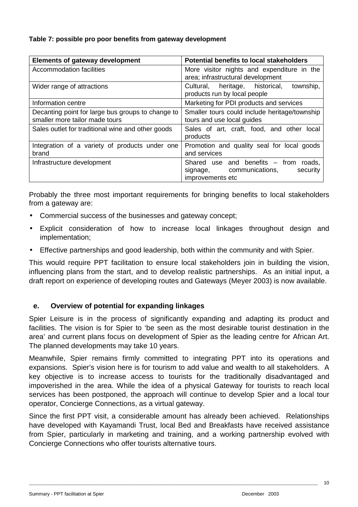#### **Table 7: possible pro poor benefits from gateway development**

| <b>Elements of gateway development</b>                                              | <b>Potential benefits to local stakeholders</b>                                                     |  |
|-------------------------------------------------------------------------------------|-----------------------------------------------------------------------------------------------------|--|
| Accommodation facilities                                                            | More visitor nights and expenditure in the<br>area; infrastructural development                     |  |
| Wider range of attractions                                                          | heritage, historical,<br>township,<br>Cultural,<br>products run by local people                     |  |
| Information centre                                                                  | Marketing for PDI products and services                                                             |  |
| Decanting point for large bus groups to change to<br>smaller more tailor made tours | Smaller tours could include heritage/township<br>tours and use local guides                         |  |
| Sales outlet for traditional wine and other goods                                   | Sales of art, craft, food, and other<br>local<br>products                                           |  |
| Integration of a variety of products under one<br>brand                             | Promotion and quality seal for local goods<br>and services                                          |  |
| Infrastructure development                                                          | Shared use and benefits $-$ from roads,<br>signage, communications,<br>security<br>improvements etc |  |

Probably the three most important requirements for bringing benefits to local stakeholders from a gateway are:

- Commercial success of the businesses and gateway concept;
- Explicit consideration of how to increase local linkages throughout design and implementation;
- Effective partnerships and good leadership, both within the community and with Spier.

This would require PPT facilitation to ensure local stakeholders join in building the vision, influencing plans from the start, and to develop realistic partnerships. As an initial input, a draft report on experience of developing routes and Gateways (Meyer 2003) is now available.

#### **e. Overview of potential for expanding linkages**

Spier Leisure is in the process of significantly expanding and adapting its product and facilities. The vision is for Spier to 'be seen as the most desirable tourist destination in the area' and current plans focus on development of Spier as the leading centre for African Art. The planned developments may take 10 years.

Meanwhile, Spier remains firmly committed to integrating PPT into its operations and expansions. Spier's vision here is for tourism to add value and wealth to all stakeholders. A key objective is to increase access to tourists for the traditionally disadvantaged and impoverished in the area. While the idea of a physical Gateway for tourists to reach local services has been postponed, the approach will continue to develop Spier and a local tour operator, Concierge Connections, as a virtual gateway.

Since the first PPT visit, a considerable amount has already been achieved. Relationships have developed with Kayamandi Trust, local Bed and Breakfasts have received assistance from Spier, particularly in marketing and training, and a working partnership evolved with Concierge Connections who offer tourists alternative tours.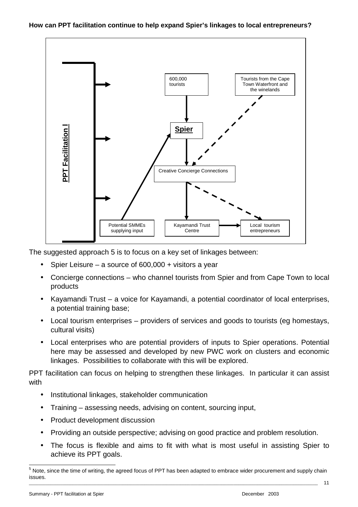#### **How can PPT facilitation continue to help expand Spier's linkages to local entrepreneurs?**



The suggested approach 5 is to focus on a key set of linkages between:

- Spier Leisure a source of  $600,000 + v$  visitors a year
- Concierge connections who channel tourists from Spier and from Cape Town to local products
- Kayamandi Trust a voice for Kayamandi, a potential coordinator of local enterprises, a potential training base;
- Local tourism enterprises providers of services and goods to tourists (eg homestays, cultural visits)
- Local enterprises who are potential providers of inputs to Spier operations. Potential here may be assessed and developed by new PWC work on clusters and economic linkages. Possibilities to collaborate with this will be explored.

PPT facilitation can focus on helping to strengthen these linkages. In particular it can assist with

- Institutional linkages, stakeholder communication
- Training assessing needs, advising on content, sourcing input,
- Product development discussion
- Providing an outside perspective; advising on good practice and problem resolution.
- The focus is flexible and aims to fit with what is most useful in assisting Spier to achieve its PPT goals.

\_\_\_\_\_\_\_\_\_\_\_\_\_\_\_\_\_\_\_\_\_\_\_\_\_\_\_\_\_\_\_\_\_\_\_\_\_\_\_\_\_\_\_\_\_\_\_\_\_\_\_\_\_\_\_\_\_\_\_\_\_\_\_\_\_\_\_\_\_\_\_\_\_\_\_\_\_\_\_\_\_\_\_\_\_\_\_\_\_\_\_\_\_\_\_\_\_\_\_\_\_\_\_\_\_\_\_\_\_\_\_\_\_\_\_\_\_\_\_\_ 5 Note, since the time of writing, the agreed focus of PPT has been adapted to embrace wider procurement and supply chain issues.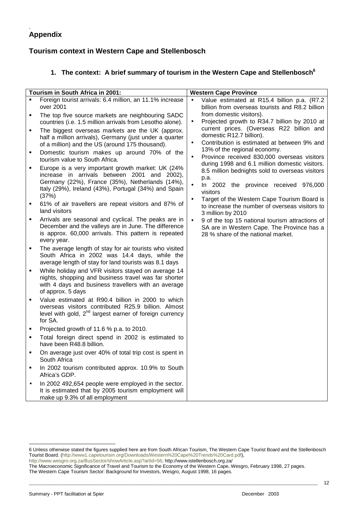#### . **Appendix**

## **Tourism context in Western Cape and Stellenbosch**

# **1. The context: A brief summary of tourism in the Western Cape and Stellenbosch6**

|        | Tourism in South Africa in 2001:                                                                                                                                                                                                                        |                        | <b>Western Cape Province</b>                                                                                                                                                                        |
|--------|---------------------------------------------------------------------------------------------------------------------------------------------------------------------------------------------------------------------------------------------------------|------------------------|-----------------------------------------------------------------------------------------------------------------------------------------------------------------------------------------------------|
| ٠      | Foreign tourist arrivals: 6.4 million, an 11.1% increase<br>over 2001<br>The top five source markets are neighbouring SADC<br>countries (i.e. 1.5 million arrivals from Lesotho alone).                                                                 | $\bullet$              | Value estimated at R15.4 billion p.a. (R7.2<br>billion from overseas tourists and R8.2 billion<br>from domestic visitors).<br>Projected growth to R34.7 billion by 2010 at                          |
| ٠<br>٠ | The biggest overseas markets are the UK (approx.<br>half a million arrivals), Germany (just under a quarter<br>of a million) and the US (around 175 thousand).<br>Domestic tourism makes up around 70% of the                                           | $\bullet$<br>$\bullet$ | current prices. (Overseas R22 billion and<br>domestic R12.7 billion).<br>Contribution is estimated at between 9% and<br>13% of the regional economy.<br>Province received 830,000 overseas visitors |
| ٠      | tourism value to South Africa.<br>Europe is a very important growth market: UK (24%<br>increase in arrivals between 2001 and 2002),<br>Germany (22%), France (35%), Netherlands (14%),<br>Italy (29%), Ireland (43%), Portugal (34%) and Spain<br>(37%) |                        | during 1998 and 6.1 million domestic visitors.<br>8.5 million bednights sold to overseas visitors<br>p.a.<br>In 2002 the province received 976,000<br>visitors                                      |
| ٠      | 61% of air travellers are repeat visitors and 87% of<br>land visitors                                                                                                                                                                                   | $\bullet$              | Target of the Western Cape Tourism Board is<br>to increase the number of overseas visitors to<br>3 million by 2010                                                                                  |
| ٠      | Arrivals are seasonal and cyclical. The peaks are in<br>December and the valleys are in June. The difference<br>is approx. 60,000 arrivals. This pattern is repeated<br>every year.                                                                     | $\bullet$              | 9 of the top 15 national tourism attractions of<br>SA are in Western Cape. The Province has a<br>28 % share of the national market.                                                                 |
| ٠      | The average length of stay for air tourists who visited<br>South Africa in 2002 was 14.4 days, while the<br>average length of stay for land tourists was 8.1 days                                                                                       |                        |                                                                                                                                                                                                     |
| ٠      | While holiday and VFR visitors stayed on average 14<br>nights, shopping and business travel was far shorter<br>with 4 days and business travellers with an average<br>of approx. 5 days                                                                 |                        |                                                                                                                                                                                                     |
|        | Value estimated at R90.4 billion in 2000 to which<br>overseas visitors contributed R25.9 billion. Almost<br>level with gold, 2 <sup>nd</sup> largest earner of foreign currency<br>for SA.                                                              |                        |                                                                                                                                                                                                     |
| ٠      | Projected growth of 11.6 % p.a. to 2010.                                                                                                                                                                                                                |                        |                                                                                                                                                                                                     |
| ٠      | Total foreign direct spend in 2002 is estimated to<br>have been R48.8 billion.                                                                                                                                                                          |                        |                                                                                                                                                                                                     |
| ٠      | On average just over 40% of total trip cost is spent in<br>South Africa                                                                                                                                                                                 |                        |                                                                                                                                                                                                     |
|        | In 2002 tourism contributed approx. 10.9% to South<br>Africa's GDP.                                                                                                                                                                                     |                        |                                                                                                                                                                                                     |
|        | In 2002 492,654 people were employed in the sector.<br>It is estimated that by 2005 tourism employment will<br>make up 9.3% of all employment                                                                                                           |                        |                                                                                                                                                                                                     |

\_\_\_\_\_\_\_\_\_\_\_\_\_\_\_\_\_\_\_\_\_\_\_\_\_\_\_\_\_\_\_\_\_\_\_\_\_\_\_\_\_\_\_\_\_\_\_\_\_\_\_\_\_\_\_\_\_\_\_\_\_\_\_\_\_\_\_\_\_\_\_\_\_\_\_\_\_\_\_\_\_\_\_\_\_\_\_\_\_\_\_\_\_\_\_\_\_\_\_\_\_\_\_\_\_\_\_\_\_\_\_\_\_\_\_\_\_\_\_\_

http://www.wesgro.org.za/BusSector/showArticle.asp?artId=56; http://www.istellenbosch.org.za/ The Macroeconomic Significance of Travel and Tourism to the Economy of the Western Cape, Wesgro, February 1998, 27 pages.

The Western Cape Tourism Sector: Background for Investors, Wesgro, August 1998, 16 pages.

-

<sup>6</sup> Unless otherwise stated the figures supplied here are from South African Tourism, The Western Cape Tourist Board and the Stellenbosch Tourist Board. (http://www1.capetourism.org/Downloads/Western%20Cape%20Trends%20Card.pdf),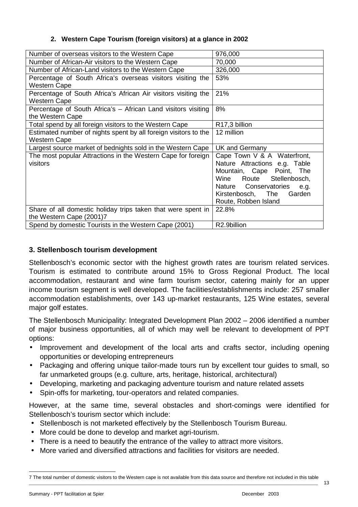#### **2. Western Cape Tourism (foreign visitors) at a glance in 2002**

| Number of overseas visitors to the Western Cape                 | 976,000                       |
|-----------------------------------------------------------------|-------------------------------|
|                                                                 | 70,000                        |
| Number of African-Air visitors to the Western Cape              |                               |
| Number of African-Land visitors to the Western Cape             | 326,000                       |
| Percentage of South Africa's overseas visitors visiting the     | 53%                           |
| Western Cape                                                    |                               |
| Percentage of South Africa's African Air visitors visiting the  | 21%                           |
| <b>Western Cape</b>                                             |                               |
| Percentage of South Africa's – African Land visitors visiting   | 8%                            |
| the Western Cape                                                |                               |
| Total spend by all foreign visitors to the Western Cape         | R17,3 billion                 |
| Estimated number of nights spent by all foreign visitors to the | 12 million                    |
| <b>Western Cape</b>                                             |                               |
| Largest source market of bednights sold in the Western Cape     | UK and Germany                |
| The most popular Attractions in the Western Cape for foreign    | Cape Town V & A Waterfront,   |
| visitors                                                        | Nature Attractions e.g. Table |
|                                                                 | Mountain, Cape Point, The     |
|                                                                 | Wine Route Stellenbosch,      |
|                                                                 | Nature Conservatories<br>e.g. |
|                                                                 |                               |
|                                                                 | Kirstenbosch, The<br>Garden   |
|                                                                 | Route, Robben Island          |
| Share of all domestic holiday trips taken that were spent in    | 22.8%                         |
| the Western Cape (2001)7                                        |                               |
| Spend by domestic Tourists in the Western Cape (2001)           | R2.9billion                   |

## **3. Stellenbosch tourism development**

Stellenbosch's economic sector with the highest growth rates are tourism related services. Tourism is estimated to contribute around 15% to Gross Regional Product. The local accommodation, restaurant and wine farm tourism sector, catering mainly for an upper income tourism segment is well developed. The facilities/establishments include: 257 smaller accommodation establishments, over 143 up-market restaurants, 125 Wine estates, several major golf estates.

The Stellenbosch Municipality: Integrated Development Plan 2002 – 2006 identified a number of major business opportunities, all of which may well be relevant to development of PPT options:

- Improvement and development of the local arts and crafts sector, including opening opportunities or developing entrepreneurs
- Packaging and offering unique tailor-made tours run by excellent tour guides to small, so far unmarketed groups (e.g. culture, arts, heritage, historical, architectural)
- Developing, marketing and packaging adventure tourism and nature related assets
- Spin-offs for marketing, tour-operators and related companies.

However, at the same time, several obstacles and short-comings were identified for Stellenbosch's tourism sector which include:

- Stellenbosch is not marketed effectively by the Stellenbosch Tourism Bureau.
- More could be done to develop and market agri-tourism.
- There is a need to beautify the entrance of the valley to attract more visitors.
- More varied and diversified attractions and facilities for visitors are needed.

l

\_\_\_\_\_\_\_\_\_\_\_\_\_\_\_\_\_\_\_\_\_\_\_\_\_\_\_\_\_\_\_\_\_\_\_\_\_\_\_\_\_\_\_\_\_\_\_\_\_\_\_\_\_\_\_\_\_\_\_\_\_\_\_\_\_\_\_\_\_\_\_\_\_\_\_\_\_\_\_\_\_\_\_\_\_\_\_\_\_\_\_\_\_\_\_\_\_\_\_\_\_\_\_\_\_\_\_\_\_\_\_\_\_\_\_\_\_\_\_\_ 7 The total number of domestic visitors to the Western cape is not available from this data source and therefore not included in this table